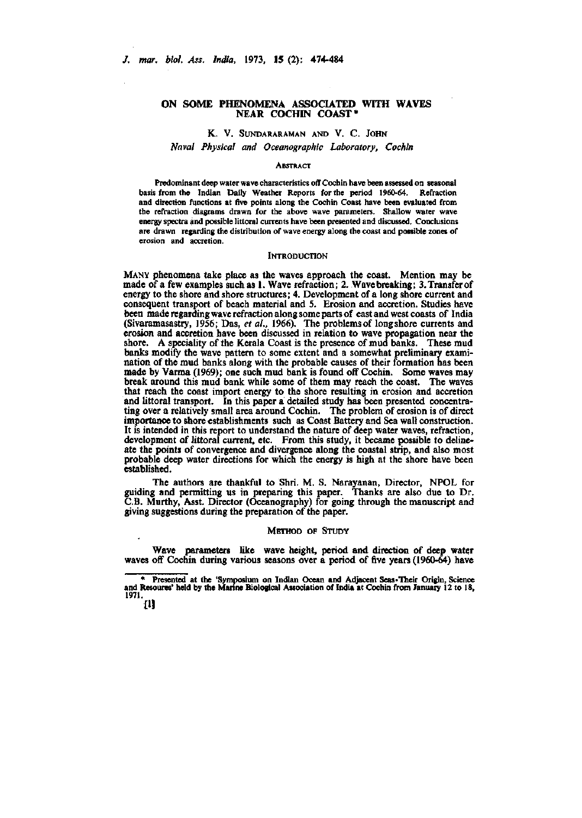## **ON SOME PHENOMENA ASSOCIATED WITH WAVES NEAR COCHIN COAST\***

## K. V. SUNDARARAMAN AND V. C. JOHN

*Naval Physical and Oceanographic Laboratory, Cochin* 

### **ABSTRACT**

Predominant deep water wave characteristics off Cochin have been assessed on seasonal basis from the Indian Daily Weather Reports for the period 1960-64. Refraction and direction functions at five points along the Cochin Coast have been evaluated from the refraction diagrams drawn for the above wave parameters. Shallow water wave energy spectra and possible littoral currents have been presented and discussed. Conclusions are drawn regarding the distribution of wave energy along the coast and possible zones of erosion and accretion.

#### **INTRODUCTION**

MANY phenomena take place as the waves approach the coast. Mention may be made of a few examples such as 1. Wave refraction; 2. Wave breaking; S.Transferof energy to the shore and shore structures; 4. Development of a long shore current and consequent transport of beach material and 5. Erosion and accretion. Studies have been made regarding wave refraction along some parts of east and west coasts of India (Sivaramasastry, 1956; Das, *et al.,* 1966). The problems of longshore currents and erosion and accretion have been discussed in relation to wave propagation near the shore. A speciality of the Kerala Coast is the presence of mud banks. These mud banks modify the wave pattern to some extent and a somewhat preliminary examination of the mud banks along with the probable causes of their formation has been made by Varma (1969); one such mud bank is found off Cochin. Some waves may break around this mud bank while some of them may reach the coast. The waves that reach the coast import energy to the shore resulting in erosion and accretion and littoral transport. In this paper a detailed study has been presented concentrating over a relatively small area around Cochin. The problem of erosion is of direct importance to shore establishments such as Coast Battery and Sea wall construction. It is intended in this report to understand the nature of deep water waves, refraction, development of littoral current, etc. From this study, it became possible to delineate the points of convergence and divergence along the coastal strip, and also most probable deep water directions for which the energy is high at the shore have been established.

The authors are thankful to Shri. M. S. Narayanan, Director, NPOL for guiding and permitting us in preparing this paper. Thanks are also due to Dr. C.B. Murthy, Asst. Director (Oceanography) for going through the manuscript and giving suggestions during the preparation of the paper.

### METHOD OF STUDY

Wave parameters like wave height, period and direction of deep water waves off Cochin during various seasons over a period of five years (1960-64) have

<sup>\*</sup> Presented at the 'Symposium on Indian Ocean and Adjacent Seas-Their Origin, Science and Resoures' held by the Marine Biological Association of India at Cochin from January 12 to 18, 1971.

*in*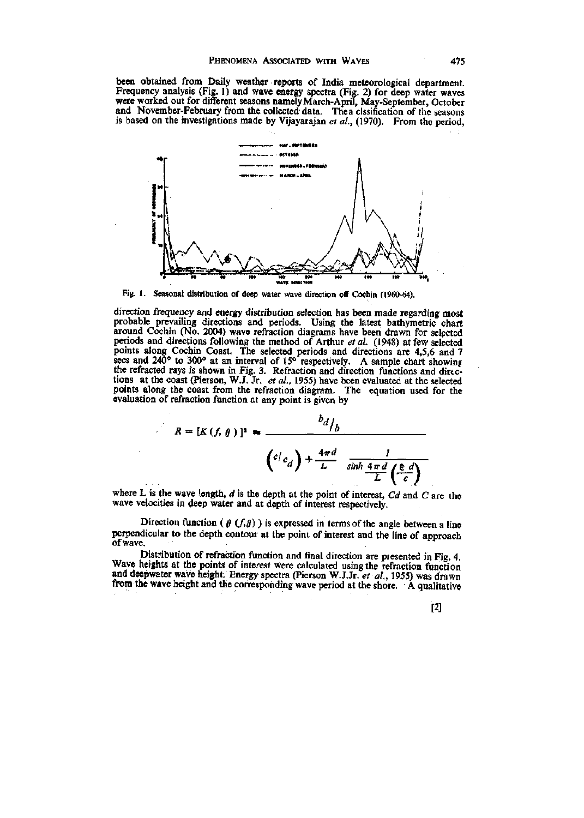been obtained from Daily weather reports of India meteorological department. Frequency analysis (Fig. 1) and wave *meigy* spectra (Fig. 2) for deep water waves were worked out for different seasons namely March-April, May-September, October and November-February from the collected data. The a clssification of the seasons is based on the investigations made by Vijayarajan *et al.,* (1970). From the period,



Fig. 1. Seasonal distribution of deep water wave direction off Cochin (1960-64).

direction frequency and energy distribution selection has been made regarding most probable prevailing directions and periods. Using the latest bathymetric chart around Cochin (No. 2004) wave refraction diagrams have been drawn for selected periods and directions following the method of Arthur *et al.* (1948) at few selected points along Cochin Coast. The selected periods and directions are 4,5,6 and 7 sees and 240° to 300° at an interval of 15° respectively. A sample chart showing the refracted rays is shown in Fig. 3. Refraction and direction functions and dirtctions at the coast (Pierson, W.J. Jr. *et al.,* 1955) have been evaluated at the selected points along the coast from the refraction diagram. The equation used for the evaluation of refraction function at any point is given by

$$
R = [K(f, \theta)]^{2} = \frac{b_{d}}{b_{d}} + \frac{4\pi d}{L} \frac{1}{\sinh \frac{4\pi d}{L} \left(\frac{\epsilon}{c}\right)}
$$

where L is the wave length, *d* is the depth at the point of interest, *Cd* and C are the wave velocities in deep water and at depth of interest respectively.

Direction function ( $\theta$  ( $f, \theta$ ) is expressed in terms of the angle between a line perpendicular to the depth contour at the point of interest and the line of approach of wave.

Distribution of refraction function and final direction are presented in Fig. 4. Wave heights at the points of interest were calculated using the refraction function and deepwater wave height. Energy spectra (Pierson W.J.Jr. *et al.,* 1955) was drawn frem the wave height and the corresponding wave period at the shore. A qualitative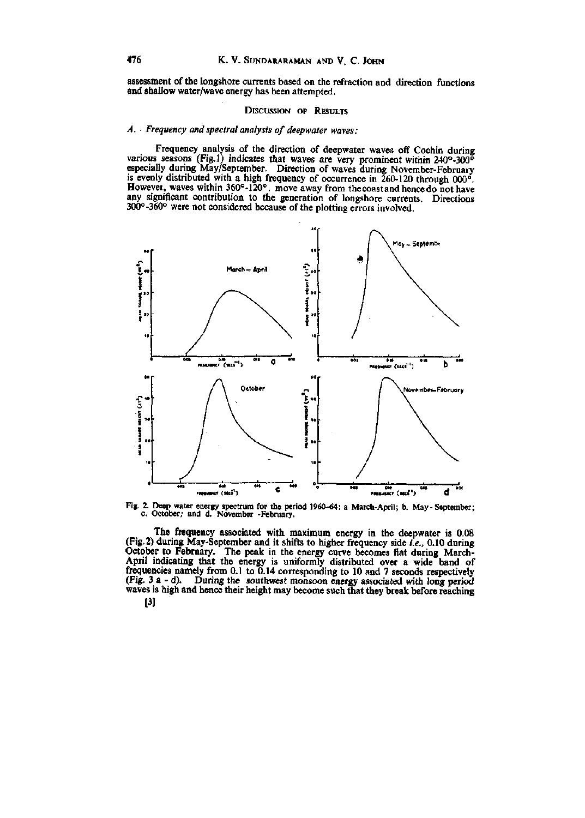assessment of the longshore currents based on the refraction and direction functions and shallow water/wave energy has been attempted.

### DISCUSSION OF RESULTS

# *A. Frequency and spectral analysis of deepwater waves:*

Frequency analysis of the direction of deepwater waves off Cochin during various seasons (Fig.l) indicates that waves are very prominent within 240°-300"» especially during May/September. Direction of waves during November-February is evenly distributed with a high frequency of occurrence in  $260-120$  through  $000^{\circ}$ . However, waves within 360°-120°. move away from the coast and hence do not have any significant contribution to the generation of longshore currents. Directions 300°-360° were not considered because of the plotting errors involved.



**Fig. 2. Deep water energy spectrum for the period 1960-64: a March-April; b. May - September; c. October; and d. November -February.** 

The frequency associated with maximum energy in the deepwater is 0.08 (Fig.2) during May-September and it shifts to higher frequency side *i.e.,* 0.10 during October to February. The peak in the energy curve becomes flat during March-April indicating that the energy is uniformly distributed over a wide band of frequencies namely from 0.1 to 0.14 corresponding to 10 and 7 seconds respectively (Fig. 3 a - d). During the southwest monsoon energy associated with long period waves is high and hence their height may become such that they break before reaching [3]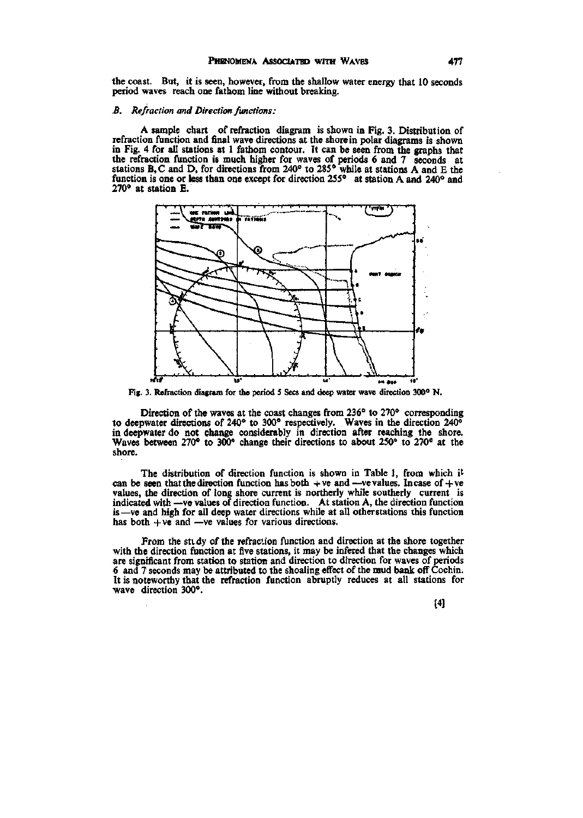the coast. But, it is seen, however, from the shallow water energy that 10 seconds period waves reach one fathom line without breaking.

### *B. Refraction and Direction functions :*

A sample chart of refraction diagram is shown in Fig. 3. Distribution of refraction function and final wave directions at the shore in polar diagrams is shown in Fig. 4 for all stations at 1 fathom contour. It can be seen from the graphs that the refraction function is much higher for waves of periods 6 and 7 seconds at stations B, C and D, for directions from 240° to 285° while at stations A and E the function is one or less than one except for direction 255° at station A and 240° and 270" at station E.



**Fig. 3. Refraction diagram for the period 5 Sees and deep water wave direction 300° N.** 

Direction of the waves at the coast changes from 236° to 270° corresponding to deepwater directions of 240° to 300° respectively. Waves in the direction 240° in deepwater do not change considerably in direction after reaching the shore. Waves between 270° to 300° change their directions to about 250° to 270° at the shore.

The distribution of direction function is shown in Table 1, from which it can be seen that the direction function has both  $+ve$  and —ve values. In case of  $+ve$ values, the direction of long shore current is northerly while southerly current is indicated with —ve values of direction function. At station A, the direction function is—ve and high for all deep water directions while at all other stations this function has both  $+ve$  and —ve values for various directions.

From the stidy of the refraction function and direction at the shore together with the direction function at five stations, it may be infered that the changes which are significant from station to station and direction to direction for waves of periods 6 and 7 seconds may be attributed to the shoaling effect of the mud bank off Cochin. It is noteworthy that the refraction function abruptly reduces at all stations for •wave direction 300°.

[4]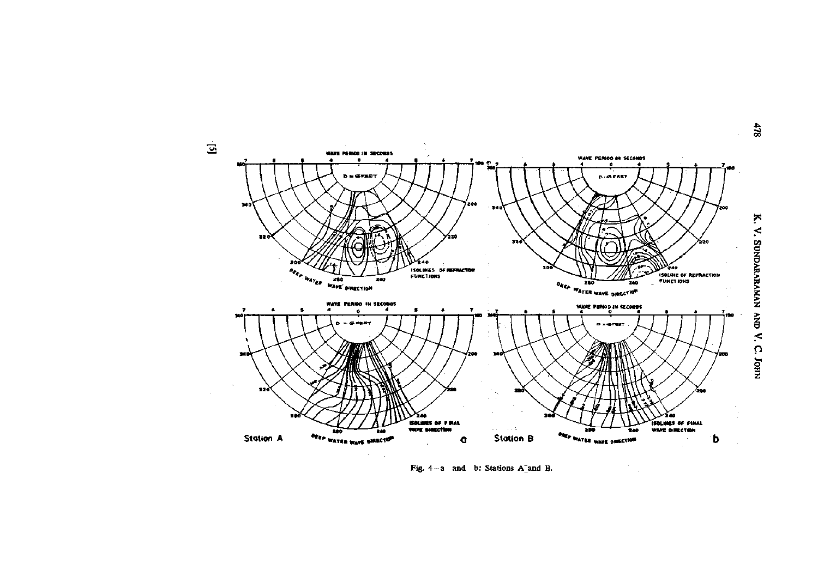

Fig. 4-a and b: Stations A and B.

 $478$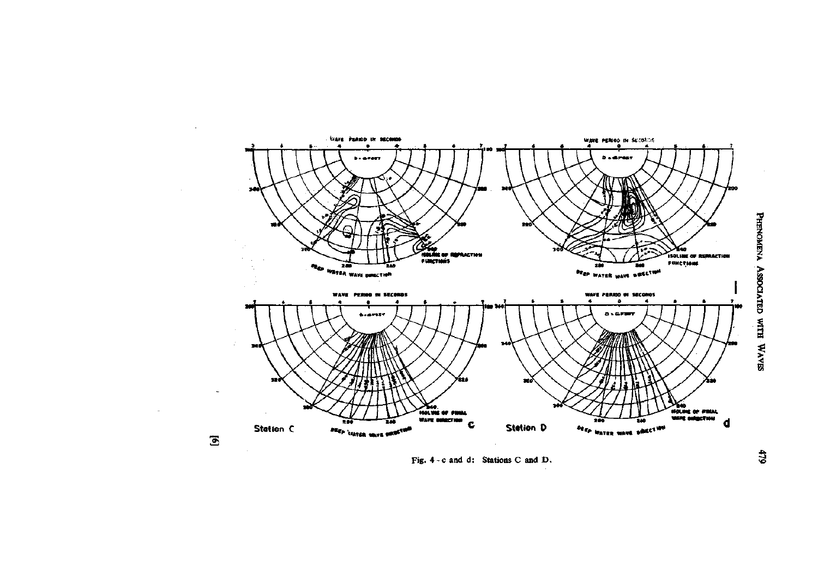

Fig. 4 - c and d: Stations C and D.

PHENOMENA ASSOCIATED WITH WAVES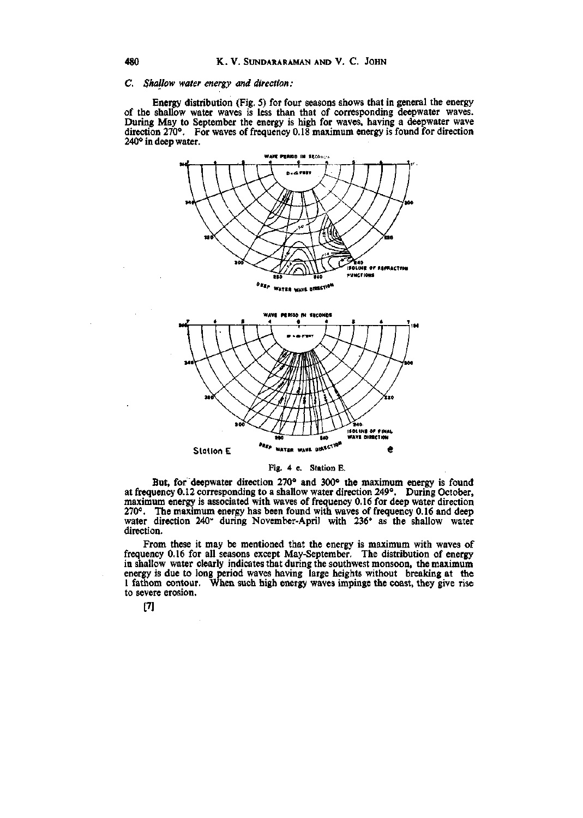## C. Shallow water energy and direction:

Energy distribution (Fig. 5) for four seasons shows that in general the energy of the shallow water waves is less than that of corresponding deepwater waves. During May to September the energy is high for waves, having a deepwater wave direction 270°. For waves of frequency 0.18 maximum energy is found for direction 240° in deep water.





Fig. 4 e. Station E.

But, for deepwater direction 270° and 300° the maximum energy is found at frequency 0.12 corresponding to a shallow water direction 249°. During October, maximum energy is associated with waves of frequency 0.16 for deep water direction 270°. The maximum energy has been found with waves of frequency 0.16 and deep water direction 240° during November-April with 236° as the shallow water direction.

From these it may be mentioned that the energy is maximum with waves of frequency 0.16 for all seasons except May-September. The distribution of energy in shallow water clearly indicates that during the southwest monsoon, the maximum energy is due to long period waves having large heights without breaking at the 1 fathom contour. When such high energy waves impinge the coast, they give rise to severe erosion.

 $[7]$ 

 $\bar{z}$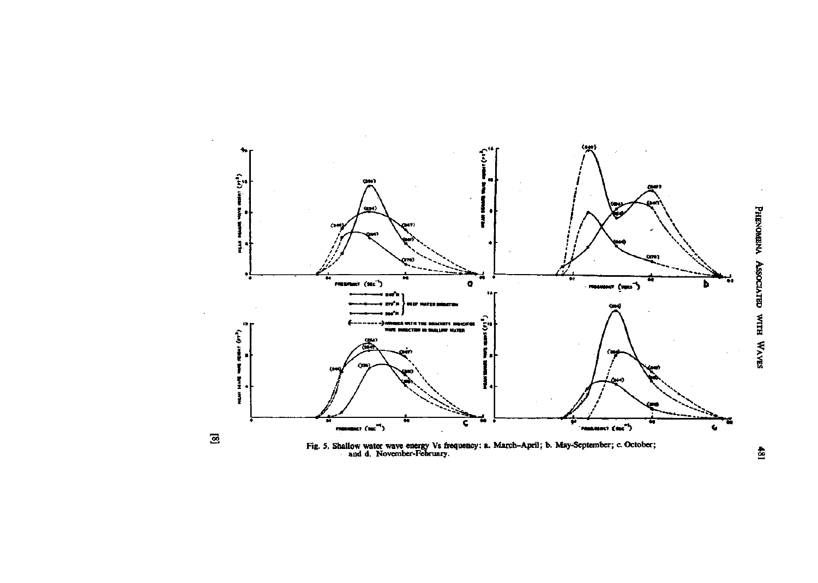

РНЕМОМЕНА АSSOCIATED WITH WAVES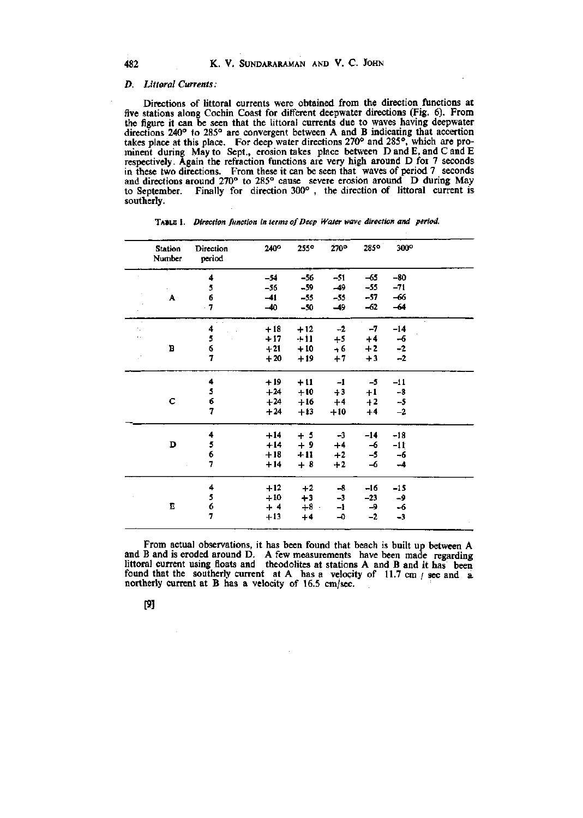# *D. Littoral Currents:*

Directions of littoral currents were obtained from the direction functions at five stations along Cochin Coast for different deepwater directions (Fig. 6). From the figure it can be seen that the littoral currents due to waves having deepwater directions 240° to 285° are convergent between A and B indicating that accertion takes place at this place. For deep water directions 270° and 285°, which are prominent during May to Sept,, erosion takes place between D and E, and C and E respectively. Again the refraction functions are very high around D for 7 seconds in these two directions. From these it can be seen that waves of period 7 seconds and directions around 270° to 285° cause severe erosion around D during May to September. Finally for direction 300° , the direction of littoral current is southerly.

|                | <b>Station</b><br>Number | <b>Direction</b><br>period | 240°  | $255^\circ$ | 270°  | $285^\circ$ | $300^\circ$ |  |
|----------------|--------------------------|----------------------------|-------|-------------|-------|-------------|-------------|--|
|                |                          | 4                          | $-54$ | $-56$       | $-51$ | $-65$       | $-80$       |  |
|                |                          | 5                          | $-56$ | $-59$       | $-49$ | $-55$       | $-71$       |  |
|                | A                        | 6                          | $-41$ | $-55$       | $-55$ | $-57$       | $-66$       |  |
|                |                          | $-7$                       | $-40$ | $-50$       | $-49$ | -62         | $-64$       |  |
| $\alpha$<br>٠. |                          | 4                          | $+18$ | $+12$       | $-2$  | $-7$        | $-14$       |  |
| ò.             |                          | 5                          | $+17$ | $+11$       | $+5$  | $+4$        | $-6$        |  |
|                | B                        | 6                          | $+21$ | $+10$       | $+6$  | $+2$        | $^{\rm -2}$ |  |
|                |                          | 7                          | $+20$ | $+19$       | $+7$  | $+3$        | $-2$        |  |
|                |                          | 4                          | $+19$ | $+11$       | $-1$  | $-5$        | $-11$       |  |
|                |                          | 5                          | $+24$ | $+10$       | $+3$  | $+1$        | $-8$        |  |
|                | c                        | 6                          | $+24$ | $+16$       | $+4$  | $+2$        | $-5$        |  |
|                |                          | 7                          | $+24$ | $+13$       | $+10$ | $+4$        | $-2$        |  |
|                |                          | 4                          | $+14$ | $+5$        | $-3$  | $-14$       | $-18$       |  |
|                | D                        | 5                          | $+14$ | $+9$        | $+4$  | -6          | -11         |  |
|                |                          | 6                          | $+18$ | $+11$       | $+2$  | -5          | -6          |  |
|                |                          | 7                          | $+14$ | $+8$        | $+2$  | $-6$        | $-4$        |  |
|                |                          | 4                          | $+12$ | $+2$        | $-8$  | -16         | $-15$       |  |
|                |                          | 5                          | $+10$ | $+3$        | $-3$  | $-23$       | -9          |  |
|                | Е                        | 6                          | $+4$  | $+8$ .      | $-1$  | -9          | $-6$        |  |
|                |                          | 7                          | $+13$ | $+4$        | -0    | $-2$        | $-3$        |  |

TABLE 1. *Direction function in terms of Deep Water wave direction and period.* 

From actual observations, it has been found that beach is built up between A and B and is eroded around D. A few measurements have been made regarding littoral current using floats and theodolites at stations A and B and it has been found that the southerly current at A has a velocity of  $11.7 \text{ cm}$  / sec and a northerly current at B has a velocity of 16.5 cm/sec.

# [9]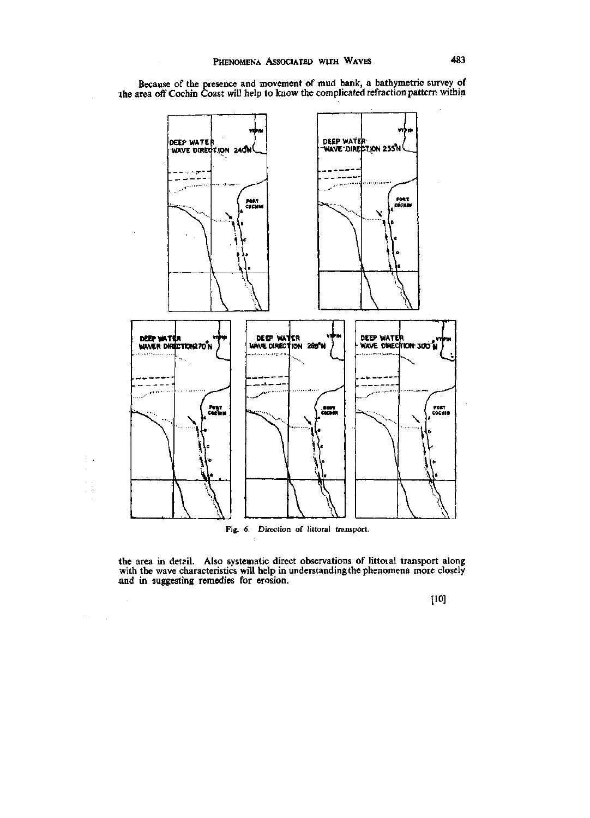

Because of the presence and movement of mud bank, a bathymetric survey of the area off Cochin Coast will help to know the complicated refraction pattern within

Fig. 6. Direction of littoral transport.

 $\ddot{\phantom{a}}$ 

t i

 $\gamma_{\rm eff} = \gamma_{\rm eff}$ 

 $\bar{z}$ 

the area in detail. Also systematic direct observations of littoial transport along with the wave characteristics will help in understanding the phenomena more closely and in suggesting remedies for erosion.

[10]